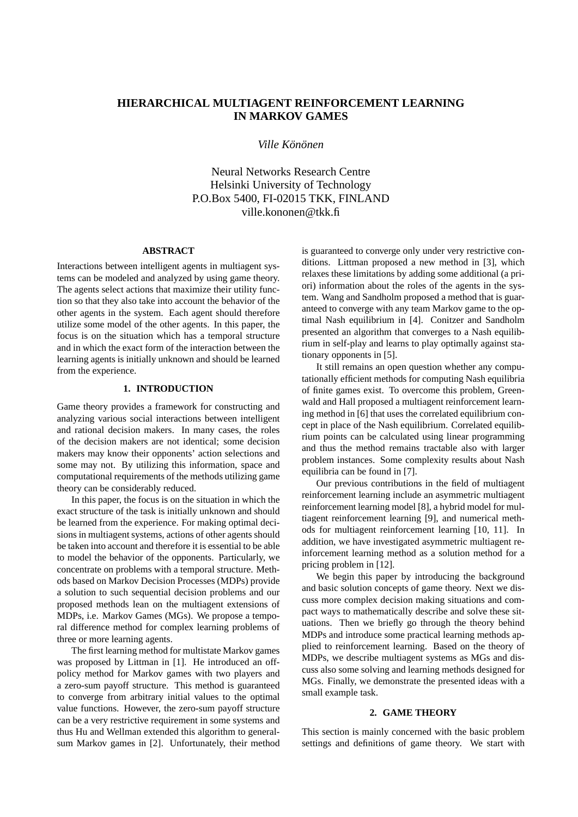# **HIERARCHICAL MULTIAGENT REINFORCEMENT LEARNING IN MARKOV GAMES**

 $Ville$  *Könönen* 

Neural Networks Research Centre Helsinki University of Technology P.O.Box 5400, FI-02015 TKK, FINLAND ville.kononen@tkk.fi

## **ABSTRACT**

Interactions between intelligent agents in multiagent systems can be modeled and analyzed by using game theory. The agents select actions that maximize their utility function so that they also take into account the behavior of the other agents in the system. Each agent should therefore utilize some model of the other agents. In this paper, the focus is on the situation which has a temporal structure and in which the exact form of the interaction between the learning agents is initially unknown and should be learned from the experience.

## **1. INTRODUCTION**

Game theory provides a framework for constructing and analyzing various social interactions between intelligent and rational decision makers. In many cases, the roles of the decision makers are not identical; some decision makers may know their opponents' action selections and some may not. By utilizing this information, space and computational requirements of the methods utilizing game theory can be considerably reduced.

In this paper, the focus is on the situation in which the exact structure of the task is initially unknown and should be learned from the experience. For making optimal decisions in multiagent systems, actions of other agents should be taken into account and therefore it is essential to be able to model the behavior of the opponents. Particularly, we concentrate on problems with a temporal structure. Methods based on Markov Decision Processes (MDPs) provide a solution to such sequential decision problems and our proposed methods lean on the multiagent extensions of MDPs, i.e. Markov Games (MGs). We propose a temporal difference method for complex learning problems of three or more learning agents.

The first learning method for multistate Markov games was proposed by Littman in [1]. He introduced an offpolicy method for Markov games with two players and a zero-sum payoff structure. This method is guaranteed to converge from arbitrary initial values to the optimal value functions. However, the zero-sum payoff structure can be a very restrictive requirement in some systems and thus Hu and Wellman extended this algorithm to generalsum Markov games in [2]. Unfortunately, their method

is guaranteed to converge only under very restrictive conditions. Littman proposed a new method in [3], which relaxes these limitations by adding some additional (a priori) information about the roles of the agents in the system. Wang and Sandholm proposed a method that is guaranteed to converge with any team Markov game to the optimal Nash equilibrium in [4]. Conitzer and Sandholm presented an algorithm that converges to a Nash equilibrium in self-play and learns to play optimally against stationary opponents in [5].

It still remains an open question whether any computationally efficient methods for computing Nash equilibria of finite games exist. To overcome this problem, Greenwald and Hall proposed a multiagent reinforcement learning method in [6] that uses the correlated equilibrium concept in place of the Nash equilibrium. Correlated equilibrium points can be calculated using linear programming and thus the method remains tractable also with larger problem instances. Some complexity results about Nash equilibria can be found in [7].

Our previous contributions in the field of multiagent reinforcement learning include an asymmetric multiagent reinforcement learning model [8], a hybrid model for multiagent reinforcement learning [9], and numerical methods for multiagent reinforcement learning [10, 11]. In addition, we have investigated asymmetric multiagent reinforcement learning method as a solution method for a pricing problem in [12].

We begin this paper by introducing the background and basic solution concepts of game theory. Next we discuss more complex decision making situations and compact ways to mathematically describe and solve these situations. Then we briefly go through the theory behind MDPs and introduce some practical learning methods applied to reinforcement learning. Based on the theory of MDPs, we describe multiagent systems as MGs and discuss also some solving and learning methods designed for MGs. Finally, we demonstrate the presented ideas with a small example task.

### **2. GAME THEORY**

This section is mainly concerned with the basic problem settings and definitions of game theory. We start with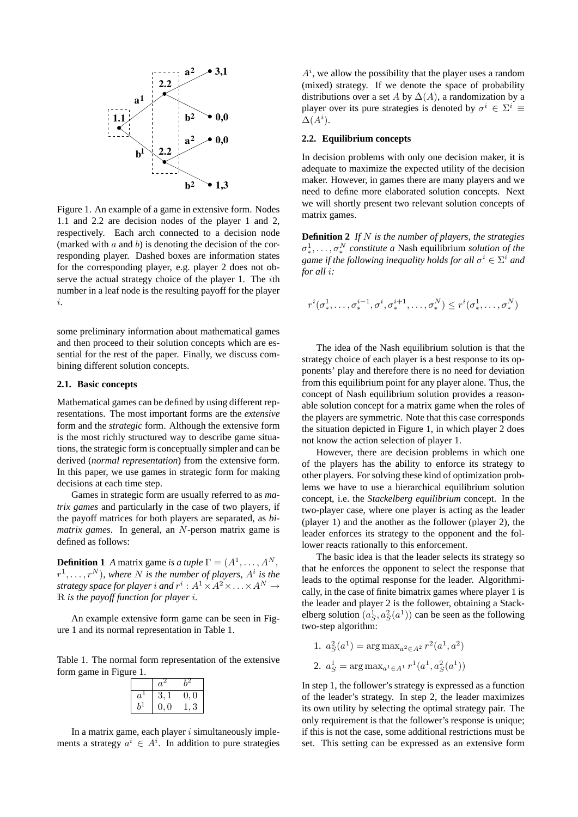

Figure 1. An example of a game in extensive form. Nodes 1.1 and 2.2 are decision nodes of the player 1 and 2, respectively. Each arch connected to a decision node (marked with  $a$  and  $b$ ) is denoting the decision of the corresponding player. Dashed boxes are information states for the corresponding player, e.g. player 2 does not observe the actual strategy choice of the player 1. The ith number in a leaf node is the resulting payoff for the player i.

some preliminary information about mathematical games and then proceed to their solution concepts which are essential for the rest of the paper. Finally, we discuss combining different solution concepts.

## **2.1. Basic concepts**

Mathematical games can be defined by using different representations. The most important forms are the *extensive* form and the *strategic* form. Although the extensive form is the most richly structured way to describe game situations, the strategic form is conceptually simpler and can be derived (*normal representation*) from the extensive form. In this paper, we use games in strategic form for making decisions at each time step.

Games in strategic form are usually referred to as *matrix games* and particularly in the case of two players, if the payoff matrices for both players are separated, as *bimatrix games*. In general, an N-person matrix game is defined as follows:

**Definition 1** *A* matrix game *is a tuple*  $\Gamma = (A^1, \dots, A^N, A^N)$  $r^1, \ldots, r^N$ ), where N is the number of players,  $A^i$  is the strategy space for player  $i$  and  $r^i:A^1\times A^2\times\ldots\times A^N\rightarrow$ R *is the payoff function for player* i*.*

An example extensive form game can be seen in Figure 1 and its normal representation in Table 1.

Table 1. The normal form representation of the extensive form game in Figure 1.

|       | $a^2$ |                     |
|-------|-------|---------------------|
| $a^*$ | 3, 1  | 0, 0                |
| h+    | 0, 0  | $\ddot{\mathbf{3}}$ |

In a matrix game, each player  $i$  simultaneously implements a strategy  $a^i \in A^i$ . In addition to pure strategies  $A^i$ , we allow the possibility that the player uses a random (mixed) strategy. If we denote the space of probability distributions over a set A by  $\Delta(A)$ , a randomization by a player over its pure strategies is denoted by  $\sigma^i \in \Sigma^i \equiv$  $\Delta(A^i)$ .

### **2.2. Equilibrium concepts**

In decision problems with only one decision maker, it is adequate to maximize the expected utility of the decision maker. However, in games there are many players and we need to define more elaborated solution concepts. Next we will shortly present two relevant solution concepts of matrix games.

**Definition 2** *If* N *is the number of players, the strategies*  $\sigma^1_*, \ldots, \sigma^N_*$  *constitute a* Nash equilibrium *solution of the* game if the following inequality holds for all  $\sigma^i \in \Sigma^i$  and *for all* i*:*

$$
r^i(\sigma^1_*,\ldots,\sigma^{i-1}_*,\sigma^i,\sigma^{i+1}_*,\ldots,\sigma^N_*)\leq r^i(\sigma^1_*,\ldots,\sigma^N_*)
$$

The idea of the Nash equilibrium solution is that the strategy choice of each player is a best response to its opponents' play and therefore there is no need for deviation from this equilibrium point for any player alone. Thus, the concept of Nash equilibrium solution provides a reasonable solution concept for a matrix game when the roles of the players are symmetric. Note that this case corresponds the situation depicted in Figure 1, in which player 2 does not know the action selection of player 1.

However, there are decision problems in which one of the players has the ability to enforce its strategy to other players. For solving these kind of optimization problems we have to use a hierarchical equilibrium solution concept, i.e. the *Stackelberg equilibrium* concept. In the two-player case, where one player is acting as the leader (player 1) and the another as the follower (player 2), the leader enforces its strategy to the opponent and the follower reacts rationally to this enforcement.

The basic idea is that the leader selects its strategy so that he enforces the opponent to select the response that leads to the optimal response for the leader. Algorithmically, in the case of finite bimatrix games where player 1 is the leader and player 2 is the follower, obtaining a Stackelberg solution  $(a_S^1, a_S^2(a^1))$  can be seen as the following two-step algorithm:

1. 
$$
a_S^2(a^1) = \arg \max_{a^2 \in A^2} r^2(a^1, a^2)
$$

2. 
$$
a_S^1 = \arg \max_{a^1 \in A^1} r^1(a^1, a_S^2(a^1))
$$

In step 1, the follower's strategy is expressed as a function of the leader's strategy. In step 2, the leader maximizes its own utility by selecting the optimal strategy pair. The only requirement is that the follower's response is unique; if this is not the case, some additional restrictions must be set. This setting can be expressed as an extensive form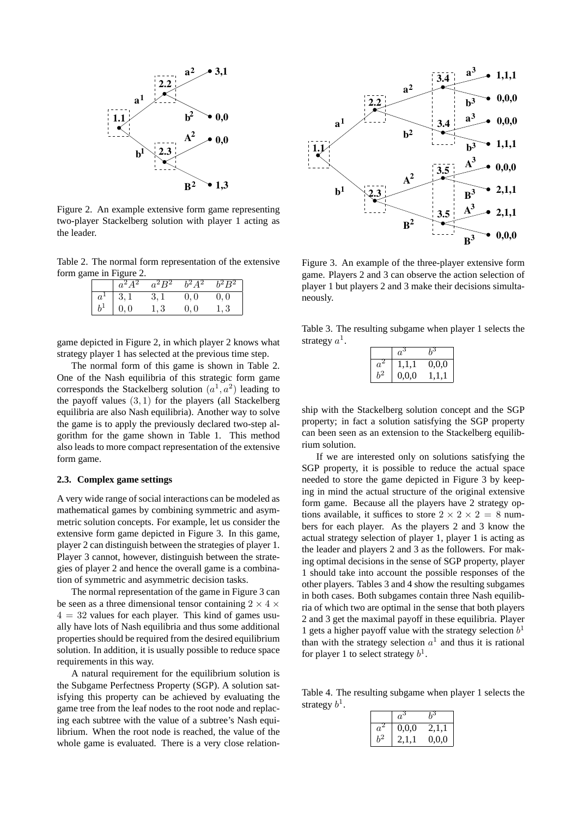

Figure 2. An example extensive form game representing two-player Stackelberg solution with player 1 acting as the leader.

Table 2. The normal form representation of the extensive form game in Figure 2.

|       | $a^2A^2$ | $a^2B^2$ | $b^2A^2$ | $\overline{b^2B^2}$ |
|-------|----------|----------|----------|---------------------|
| $a^1$ | 3,1      | 3, 1     | 0,0      | 0,0                 |
| $b^1$ | 0,0      | 1.3      | 0,0      | 1.3                 |

game depicted in Figure 2, in which player 2 knows what strategy player 1 has selected at the previous time step.

The normal form of this game is shown in Table 2. One of the Nash equilibria of this strategic form game corresponds the Stackelberg solution  $(a^1, a^2)$  leading to the payoff values (3, 1) for the players (all Stackelberg equilibria are also Nash equilibria). Another way to solve the game is to apply the previously declared two-step algorithm for the game shown in Table 1. This method also leads to more compact representation of the extensive form game.

## **2.3. Complex game settings**

A very wide range of social interactions can be modeled as mathematical games by combining symmetric and asymmetric solution concepts. For example, let us consider the extensive form game depicted in Figure 3. In this game, player 2 can distinguish between the strategies of player 1. Player 3 cannot, however, distinguish between the strategies of player 2 and hence the overall game is a combination of symmetric and asymmetric decision tasks.

The normal representation of the game in Figure 3 can be seen as a three dimensional tensor containing 2  $\times$  4  $\times$  $4 = 32$  values for each player. This kind of games usually have lots of Nash equilibria and thus some additional properties should be required from the desired equilibrium solution. In addition, it is usually possible to reduce space requirements in this way.

A natural requirement for the equilibrium solution is the Subgame Perfectness Property (SGP). A solution satisfying this property can be achieved by evaluating the game tree from the leaf nodes to the root node and replacing each subtree with the value of a subtree's Nash equilibrium. When the root node is reached, the value of the whole game is evaluated. There is a very close relation-



Figure 3. An example of the three-player extensive form game. Players 2 and 3 can observe the action selection of player 1 but players 2 and 3 make their decisions simultaneously.

Table 3. The resulting subgame when player 1 selects the strategy  $a^1$ .

|             | $a^{\varepsilon}$ |       |
|-------------|-------------------|-------|
| $a^{\circ}$ | 1,1,1             | 0,0,0 |
|             | 0,0,0             |       |

ship with the Stackelberg solution concept and the SGP property; in fact a solution satisfying the SGP property can been seen as an extension to the Stackelberg equilibrium solution.

If we are interested only on solutions satisfying the SGP property, it is possible to reduce the actual space needed to store the game depicted in Figure 3 by keeping in mind the actual structure of the original extensive form game. Because all the players have 2 strategy options available, it suffices to store  $2 \times 2 \times 2 = 8$  numbers for each player. As the players 2 and 3 know the actual strategy selection of player 1, player 1 is acting as the leader and players 2 and 3 as the followers. For making optimal decisions in the sense of SGP property, player 1 should take into account the possible responses of the other players. Tables 3 and 4 show the resulting subgames in both cases. Both subgames contain three Nash equilibria of which two are optimal in the sense that both players 2 and 3 get the maximal payoff in these equilibria. Player 1 gets a higher payoff value with the strategy selection  $b<sup>1</sup>$ than with the strategy selection  $a^1$  and thus it is rational for player 1 to select strategy  $b^1$ .

Table 4. The resulting subgame when player 1 selects the strategy  $b^1$ .

| $a^3$ | hI    |
|-------|-------|
| 0,0,0 | 2,1,1 |
|       | 0,0,0 |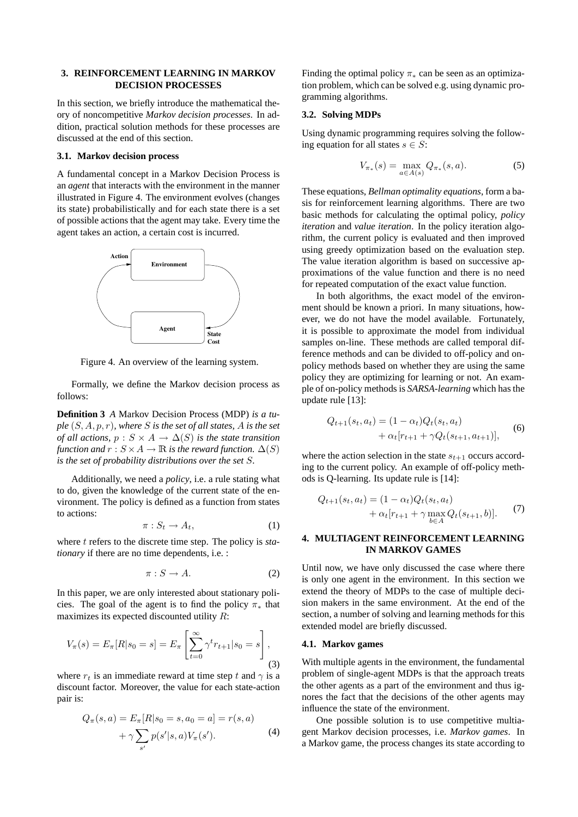## **3. REINFORCEMENT LEARNING IN MARKOV DECISION PROCESSES**

In this section, we briefly introduce the mathematical theory of noncompetitive *Markov decision processes*. In addition, practical solution methods for these processes are discussed at the end of this section.

## **3.1. Markov decision process**

A fundamental concept in a Markov Decision Process is an *agent* that interacts with the environment in the manner illustrated in Figure 4. The environment evolves (changes its state) probabilistically and for each state there is a set of possible actions that the agent may take. Every time the agent takes an action, a certain cost is incurred.



Figure 4. An overview of the learning system.

Formally, we define the Markov decision process as follows:

**Definition 3** *A* Markov Decision Process (MDP) *is a tuple* (S, A, p, r)*, where* S *is the set of all states,* A *is the set of all actions,*  $p : S \times A \rightarrow \Delta(S)$  *is the state transition function and*  $r : S \times A \rightarrow \mathbb{R}$  *is the reward function.*  $\Delta(S)$ *is the set of probability distributions over the set* S*.*

Additionally, we need a *policy*, i.e. a rule stating what to do, given the knowledge of the current state of the environment. The policy is defined as a function from states to actions:

$$
\pi: S_t \to A_t,\tag{1}
$$

where t refers to the discrete time step. The policy is *stationary* if there are no time dependents, i.e. :

$$
\pi: S \to A. \tag{2}
$$

In this paper, we are only interested about stationary policies. The goal of the agent is to find the policy  $\pi_*$  that maximizes its expected discounted utility R:

$$
V_{\pi}(s) = E_{\pi}[R|s_0 = s] = E_{\pi} \left[ \sum_{t=0}^{\infty} \gamma^t r_{t+1} | s_0 = s \right],
$$
\n(3)

where  $r_t$  is an immediate reward at time step t and  $\gamma$  is a discount factor. Moreover, the value for each state-action pair is:

$$
Q_{\pi}(s, a) = E_{\pi}[R|s_0 = s, a_0 = a] = r(s, a)
$$

$$
+ \gamma \sum_{s'} p(s'|s, a) V_{\pi}(s').
$$
 (4)

Finding the optimal policy  $\pi_*$  can be seen as an optimization problem, which can be solved e.g. using dynamic programming algorithms.

## **3.2. Solving MDPs**

Using dynamic programming requires solving the following equation for all states  $s \in S$ :

$$
V_{\pi_*}(s) = \max_{a \in A(s)} Q_{\pi_*}(s, a).
$$
 (5)

These equations, *Bellman optimality equations*, form a basis for reinforcement learning algorithms. There are two basic methods for calculating the optimal policy, *policy iteration* and *value iteration*. In the policy iteration algorithm, the current policy is evaluated and then improved using greedy optimization based on the evaluation step. The value iteration algorithm is based on successive approximations of the value function and there is no need for repeated computation of the exact value function.

In both algorithms, the exact model of the environment should be known a priori. In many situations, however, we do not have the model available. Fortunately, it is possible to approximate the model from individual samples on-line. These methods are called temporal difference methods and can be divided to off-policy and onpolicy methods based on whether they are using the same policy they are optimizing for learning or not. An example of on-policy methods is *SARSA-learning* which has the update rule [13]:

$$
Q_{t+1}(s_t, a_t) = (1 - \alpha_t) Q_t(s_t, a_t)
$$
  
+  $\alpha_t [r_{t+1} + \gamma Q_t(s_{t+1}, a_{t+1})],$  (6)

where the action selection in the state  $s_{t+1}$  occurs according to the current policy. An example of off-policy methods is Q-learning. Its update rule is [14]:

$$
Q_{t+1}(s_t, a_t) = (1 - \alpha_t) Q_t(s_t, a_t)
$$
  
+  $\alpha_t [r_{t+1} + \gamma \max_{b \in A} Q_t(s_{t+1}, b)].$  (7)

## **4. MULTIAGENT REINFORCEMENT LEARNING IN MARKOV GAMES**

Until now, we have only discussed the case where there is only one agent in the environment. In this section we extend the theory of MDPs to the case of multiple decision makers in the same environment. At the end of the section, a number of solving and learning methods for this extended model are briefly discussed.

## **4.1. Markov games**

With multiple agents in the environment, the fundamental problem of single-agent MDPs is that the approach treats the other agents as a part of the environment and thus ignores the fact that the decisions of the other agents may influence the state of the environment.

One possible solution is to use competitive multiagent Markov decision processes, i.e. *Markov games*. In a Markov game, the process changes its state according to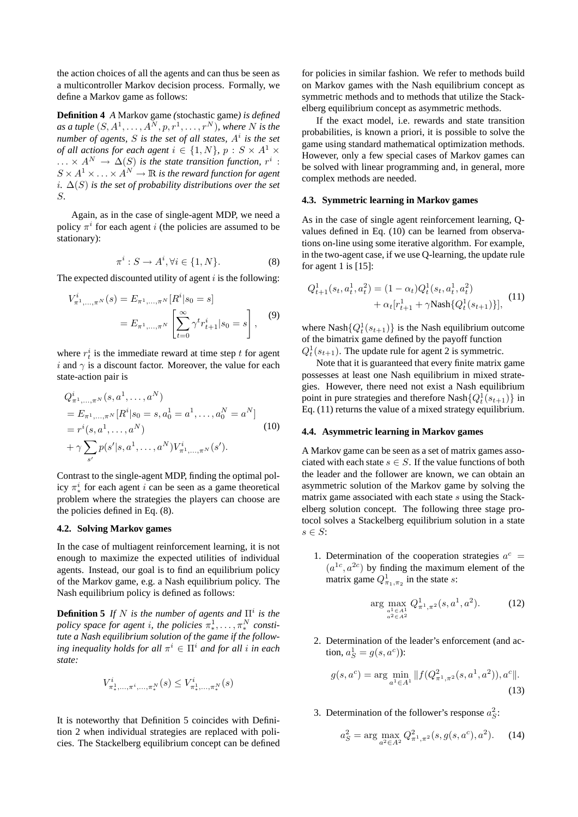the action choices of all the agents and can thus be seen as a multicontroller Markov decision process. Formally, we define a Markov game as follows:

**Definition 4** *A* Markov game *(*stochastic game*) is defined* as a tuple  $(S, A^1, \ldots, A^N, p, r^1, \ldots, r^N)$ *, where N is the number of agents,* S *is the set of all states,* A<sup>i</sup> *is the set of all actions for each agent*  $i \in \{1, N\}$ ,  $p : S \times A^1 \times$  $\ldots \times A^N \to \Delta(S)$  is the state transition function,  $r^i$  :  $S \times A^1 \times \ldots \times A^N \to \mathbb{R}$  is the reward function for agent i*.* ∆(S) *is the set of probability distributions over the set* S*.*

Again, as in the case of single-agent MDP, we need a policy  $\pi^{i}$  for each agent *i* (the policies are assumed to be stationary):

$$
\pi^i : S \to A^i, \forall i \in \{1, N\}.
$$
 (8)

The expected discounted utility of agent  $i$  is the following:

$$
V_{\pi^1,\dots,\pi^N}^i(s) = E_{\pi^1,\dots,\pi^N} [R^i|s_0 = s]
$$
  
=  $E_{\pi^1,\dots,\pi^N} \left[ \sum_{t=0}^{\infty} \gamma^t r_{t+1}^i | s_0 = s \right],$  (9)

where  $r_t^i$  is the immediate reward at time step t for agent i and  $\gamma$  is a discount factor. Moreover, the value for each state-action pair is

$$
Q_{\pi^1,\dots,\pi^N}^i(s, a^1, \dots, a^N)
$$
  
=  $E_{\pi^1,\dots,\pi^N}[R^i|s_0 = s, a_0^1 = a^1, \dots, a_0^N = a^N]$   
=  $r^i(s, a^1, \dots, a^N)$   
+  $\gamma \sum_{s'} p(s'|s, a^1, \dots, a^N) V_{\pi^1,\dots,\pi^N}^i(s').$  (10)

Contrast to the single-agent MDP, finding the optimal policy  $\pi^i_*$  for each agent *i* can be seen as a game theoretical problem where the strategies the players can choose are the policies defined in Eq. (8).

## **4.2. Solving Markov games**

In the case of multiagent reinforcement learning, it is not enough to maximize the expected utilities of individual agents. Instead, our goal is to find an equilibrium policy of the Markov game, e.g. a Nash equilibrium policy. The Nash equilibrium policy is defined as follows:

**Definition 5** If N is the number of agents and  $\Pi^i$  is the *policy space for agent i, the policies*  $\pi^1_*, \ldots, \pi^N_*$  *constitute a Nash equilibrium solution of the game if the follow* $i$ ng *inequality holds for all*  $\pi^{i} \in \Pi^{i}$  *and for all i in each state:*

$$
V^i_{\pi^1_*,...,\pi^i,...,\pi^N_*}(s) \leq V^i_{\pi^1_*,...,\pi^N_*}(s)
$$

It is noteworthy that Definition 5 coincides with Definition 2 when individual strategies are replaced with policies. The Stackelberg equilibrium concept can be defined

for policies in similar fashion. We refer to methods build on Markov games with the Nash equilibrium concept as symmetric methods and to methods that utilize the Stackelberg equilibrium concept as asymmetric methods.

If the exact model, i.e. rewards and state transition probabilities, is known a priori, it is possible to solve the game using standard mathematical optimization methods. However, only a few special cases of Markov games can be solved with linear programming and, in general, more complex methods are needed.

#### **4.3. Symmetric learning in Markov games**

As in the case of single agent reinforcement learning, Qvalues defined in Eq. (10) can be learned from observations on-line using some iterative algorithm. For example, in the two-agent case, if we use Q-learning, the update rule for agent 1 is  $[15]$ :

$$
Q_{t+1}^1(s_t, a_t^1, a_t^2) = (1 - \alpha_t) Q_t^1(s_t, a_t^1, a_t^2)
$$
  
+  $\alpha_t [r_{t+1}^1 + \gamma \text{Nash}\{Q_t^1(s_{t+1})\}],$  (11)

where Nash $\{Q_t^1(s_{t+1})\}$  is the Nash equilibrium outcome of the bimatrix game defined by the payoff function  $Q_t^1(s_{t+1})$ . The update rule for agent 2 is symmetric.

Note that it is guaranteed that every finite matrix game possesses at least one Nash equilibrium in mixed strategies. However, there need not exist a Nash equilibrium point in pure strategies and therefore Nash $\{Q_t^1(s_{t+1})\}$  in Eq. (11) returns the value of a mixed strategy equilibrium.

### **4.4. Asymmetric learning in Markov games**

A Markov game can be seen as a set of matrix games associated with each state  $s \in S$ . If the value functions of both the leader and the follower are known, we can obtain an asymmetric solution of the Markov game by solving the matrix game associated with each state s using the Stackelberg solution concept. The following three stage protocol solves a Stackelberg equilibrium solution in a state  $s \in S$ :

1. Determination of the cooperation strategies  $a^c$  =  $(a^{1c}, a^{2c})$  by finding the maximum element of the matrix game  $Q_{\pi_1,\pi_2}^1$  in the state s:

$$
\arg\max_{\substack{a^1 \in A^1\\a^2 \in A^2}} Q^1_{\pi^1, \pi^2}(s, a^1, a^2). \tag{12}
$$

2. Determination of the leader's enforcement (and action,  $a_S^1 = g(s, a^c)$ :

$$
g(s, a^c) = \arg\min_{a^1 \in A^1} \|f(Q_{\pi^1, \pi^2}^2(s, a^1, a^2)), a^c\|.
$$
\n(13)

3. Determination of the follower's response  $a_S^2$ :

$$
a_S^2 = \arg\max_{a^2 \in A^2} Q_{\pi^1, \pi^2}^2(s, g(s, a^c), a^2). \tag{14}
$$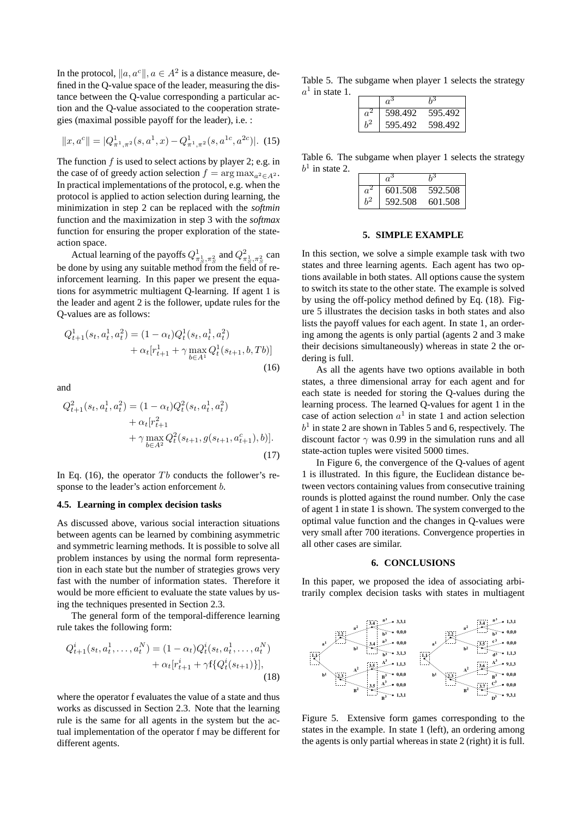In the protocol,  $\|a, a^c\|, a \in A^2$  is a distance measure, defined in the Q-value space of the leader, measuring the distance between the Q-value corresponding a particular action and the Q-value associated to the cooperation strategies (maximal possible payoff for the leader), i.e. :

$$
||x, a^c|| = |Q^1_{\pi^1, \pi^2}(s, a^1, x) - Q^1_{\pi^1, \pi^2}(s, a^{1c}, a^{2c})|.
$$
 (15)

The function  $f$  is used to select actions by player 2; e.g. in the case of of greedy action selection  $f = \arg \max_{a^2 \in A^2}$ . In practical implementations of the protocol, e.g. when the protocol is applied to action selection during learning, the minimization in step 2 can be replaced with the *softmin* function and the maximization in step 3 with the *softmax* function for ensuring the proper exploration of the stateaction space.

Actual learning of the payoffs  $Q_{\pi_S^1, \pi_S^2}^1$  and  $Q_{\pi_S^1, \pi_S^2}^2$  can be done by using any suitable method from the field of reinforcement learning. In this paper we present the equations for asymmetric multiagent Q-learning. If agent 1 is the leader and agent 2 is the follower, update rules for the Q-values are as follows:

$$
Q_{t+1}^1(s_t, a_t^1, a_t^2) = (1 - \alpha_t) Q_t^1(s_t, a_t^1, a_t^2) + \alpha_t [r_{t+1}^1 + \gamma \max_{b \in A^1} Q_t^1(s_{t+1}, b, Tb)]
$$
\n(16)

and

$$
Q_{t+1}^2(s_t, a_t^1, a_t^2) = (1 - \alpha_t) Q_t^2(s_t, a_t^1, a_t^2)
$$
  
+  $\alpha_t [r_{t+1}^2$   
+  $\gamma \max_{b \in A^2} Q_t^2(s_{t+1}, g(s_{t+1}, a_{t+1}^c), b)].$   
(17)

In Eq. (16), the operator  $Tb$  conducts the follower's response to the leader's action enforcement *b*.

#### **4.5. Learning in complex decision tasks**

As discussed above, various social interaction situations between agents can be learned by combining asymmetric and symmetric learning methods. It is possible to solve all problem instances by using the normal form representation in each state but the number of strategies grows very fast with the number of information states. Therefore it would be more efficient to evaluate the state values by using the techniques presented in Section 2.3.

The general form of the temporal-difference learning rule takes the following form:

$$
Q_{t+1}^i(s_t, a_t^1, \dots, a_t^N) = (1 - \alpha_t) Q_t^i(s_t, a_t^1, \dots, a_t^N) + \alpha_t [r_{t+1}^i + \gamma f\{Q_t^i(s_{t+1})\}],
$$
\n(18)

where the operator f evaluates the value of a state and thus works as discussed in Section 2.3. Note that the learning rule is the same for all agents in the system but the actual implementation of the operator f may be different for different agents.

Table 5. The subgame when player 1 selects the strategy  $a^1$  in state 1.

| 598.492 | 595.492 |
|---------|---------|
| 595.492 | 598.492 |

Table 6. The subgame when player 1 selects the strategy  $b<sup>1</sup>$  in state 2.

| 601.508 | 592.508 |
|---------|---------|
| 592.508 | 601.508 |

#### **5. SIMPLE EXAMPLE**

In this section, we solve a simple example task with two states and three learning agents. Each agent has two options available in both states. All options cause the system to switch its state to the other state. The example is solved by using the off-policy method defined by Eq. (18). Figure 5 illustrates the decision tasks in both states and also lists the payoff values for each agent. In state 1, an ordering among the agents is only partial (agents 2 and 3 make their decisions simultaneously) whereas in state 2 the ordering is full.

As all the agents have two options available in both states, a three dimensional array for each agent and for each state is needed for storing the Q-values during the learning process. The learned Q-values for agent 1 in the case of action selection  $a^1$  in state 1 and action selection  $b<sup>1</sup>$  in state 2 are shown in Tables 5 and 6, respectively. The discount factor  $\gamma$  was 0.99 in the simulation runs and all state-action tuples were visited 5000 times.

In Figure 6, the convergence of the Q-values of agent 1 is illustrated. In this figure, the Euclidean distance between vectors containing values from consecutive training rounds is plotted against the round number. Only the case of agent 1 in state 1 is shown. The system converged to the optimal value function and the changes in Q-values were very small after 700 iterations. Convergence properties in all other cases are similar.

#### **6. CONCLUSIONS**

In this paper, we proposed the idea of associating arbitrarily complex decision tasks with states in multiagent



Figure 5. Extensive form games corresponding to the states in the example. In state 1 (left), an ordering among the agents is only partial whereas in state 2 (right) it is full.